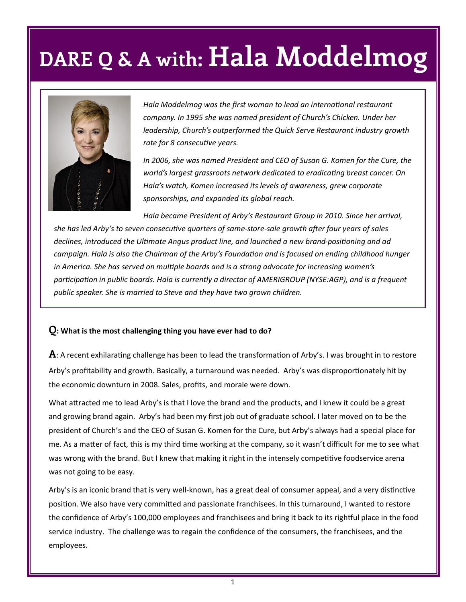

*Hala Moddelmog was the first woman to lead an international restaurant company. In 1995 she was named president of Church's Chicken. Under her leadership, Church's outperformed the Quick Serve Restaurant industry growth rate for 8 consecutive years.*

*In 2006, she was named President and CEO of Susan G. Komen for the Cure, the world's largest grassroots network dedicated to eradicating breast cancer. On Hala's watch, Komen increased its levels of awareness, grew corporate sponsorships, and expanded its global reach.*

*Hala became President of Arby's Restaurant Group in 2010. Since her arrival, she has led Arby's to seven consecutive quarters of same-store-sale growth after four years of sales declines, introduced the Ultimate Angus product line, and launched a new brand-positioning and ad campaign. Hala is also the Chairman of the Arby's Foundation and is focused on ending childhood hunger in America. She has served on multiple boards and is a strong advocate for increasing women's participation in public boards. Hala is currently a director of AMERIGROUP (NYSE:AGP), and is a frequent public speaker. She is married to Steve and they have two grown children.*

#### **Q: What is the most challenging thing you have ever had to do?**

**A**: A recent exhilarating challenge has been to lead the transformation of Arby's. I was brought in to restore Arby's profitability and growth. Basically, a turnaround was needed. Arby's was disproportionately hit by the economic downturn in 2008. Sales, profits, and morale were down.

What attracted me to lead Arby's is that I love the brand and the products, and I knew it could be a great and growing brand again. Arby's had been my first job out of graduate school. I later moved on to be the president of Church's and the CEO of Susan G. Komen for the Cure, but Arby's always had a special place for me. As a matter of fact, this is my third time working at the company, so it wasn't difficult for me to see what was wrong with the brand. But I knew that making it right in the intensely competitive foodservice arena was not going to be easy.

Arby's is an iconic brand that is very well-known, has a great deal of consumer appeal, and a very distinctive position. We also have very committed and passionate franchisees. In this turnaround, I wanted to restore the confidence of Arby's 100,000 employees and franchisees and bring it back to its rightful place in the food service industry. The challenge was to regain the confidence of the consumers, the franchisees, and the employees.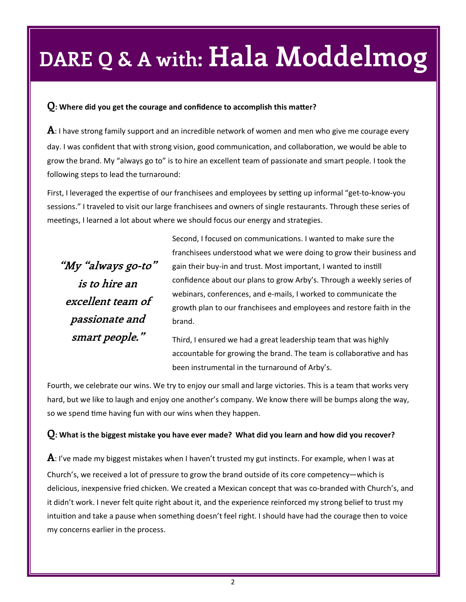#### **Q: Where did you get the courage and confidence to accomplish this matter?**

**A**: I have strong family support and an incredible network of women and men who give me courage every day. I was confident that with strong vision, good communication, and collaboration, we would be able to grow the brand. My "always go to" is to hire an excellent team of passionate and smart people. I took the following steps to lead the turnaround:

First, I leveraged the expertise of our franchisees and employees by setting up informal "get-to-know-you sessions." I traveled to visit our large franchisees and owners of single restaurants. Through these series of meetings, I learned a lot about where we should focus our energy and strategies.

**"My "always go-to" is to hire an excellent team of passionate and smart people."**

Second, I focused on communications. I wanted to make sure the franchisees understood what we were doing to grow their business and gain their buy-in and trust. Most important, I wanted to instill confidence about our plans to grow Arby's. Through a weekly series of webinars, conferences, and e-mails, I worked to communicate the growth plan to our franchisees and employees and restore faith in the brand.

Third, I ensured we had a great leadership team that was highly accountable for growing the brand. The team is collaborative and has been instrumental in the turnaround of Arby's.

Fourth, we celebrate our wins. We try to enjoy our small and large victories. This is a team that works very hard, but we like to laugh and enjoy one another's company. We know there will be bumps along the way, so we spend time having fun with our wins when they happen.

### **Q: What is the biggest mistake you have ever made? What did you learn and how did you recover?**

**A**: I've made my biggest mistakes when I haven't trusted my gut instincts. For example, when I was at Church's, we received a lot of pressure to grow the brand outside of its core competency—which is delicious, inexpensive fried chicken. We created a Mexican concept that was co-branded with Church's, and it didn't work. I never felt quite right about it, and the experience reinforced my strong belief to trust my intuition and take a pause when something doesn't feel right. I should have had the courage then to voice my concerns earlier in the process.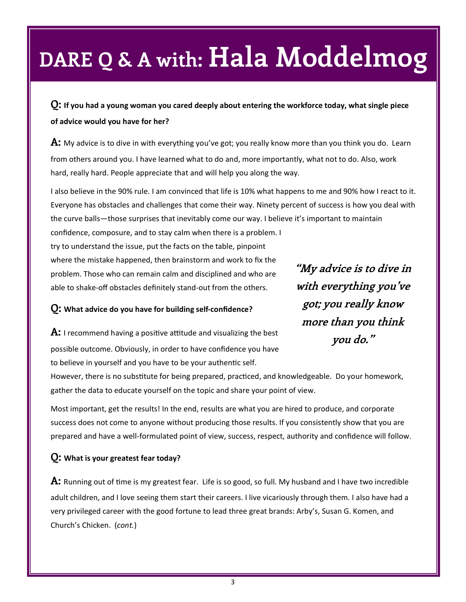**Q: If you had a young woman you cared deeply about entering the workforce today, what single piece of advice would you have for her?**

**A:** My advice is to dive in with everything you've got; you really know more than you think you do. Learn from others around you. I have learned what to do and, more importantly, what not to do. Also, work hard, really hard. People appreciate that and will help you along the way.

I also believe in the 90% rule. I am convinced that life is 10% what happens to me and 90% how I react to it. Everyone has obstacles and challenges that come their way. Ninety percent of success is how you deal with the curve balls—those surprises that inevitably come our way. I believe it's important to maintain

confidence, composure, and to stay calm when there is a problem. I try to understand the issue, put the facts on the table, pinpoint where the mistake happened, then brainstorm and work to fix the problem. Those who can remain calm and disciplined and who are able to shake-off obstacles definitely stand-out from the others.

**"My advice is to dive in with everything you've got; you really know more than you think you do."**

**Q: What advice do you have for building self-confidence?**

**A:** I recommend having a positive attitude and visualizing the best possible outcome. Obviously, in order to have confidence you have to believe in yourself and you have to be your authentic self.

However, there is no substitute for being prepared, practiced, and knowledgeable. Do your homework, gather the data to educate yourself on the topic and share your point of view.

Most important, get the results! In the end, results are what you are hired to produce, and corporate success does not come to anyone without producing those results. If you consistently show that you are prepared and have a well-formulated point of view, success, respect, authority and confidence will follow.

### **Q: What is your greatest fear today?**

**A:** Running out of time is my greatest fear. Life is so good, so full. My husband and I have two incredible adult children, and I love seeing them start their careers. I live vicariously through them. I also have had a very privileged career with the good fortune to lead three great brands: Arby's, Susan G. Komen, and Church's Chicken. (*cont.*)